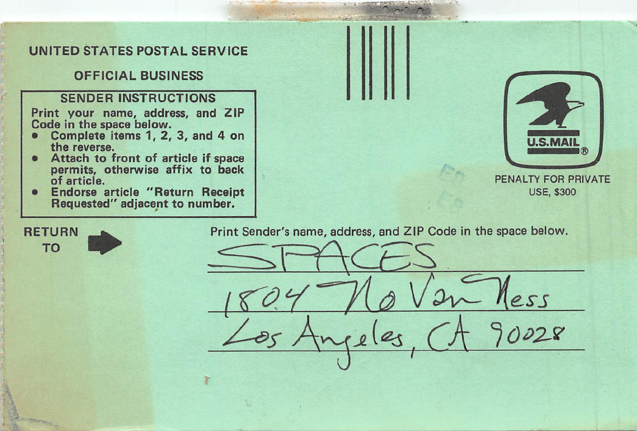## UNITED STATES POSTAL SERVICE

## **OFFICIAL BUSINESS**

## **SENDER INSTRUCTIONS**

Print your name, address, and ZIP Code in the space below.<br>• Complete items 1 2

- Complete items 1, 2, 3, and 4 on the reverse.
- Attach to front of article if space permits, otherwise affix to back of article.
- Endorse article "Return Receipt Requested" adjacent to number.



PENALTY FOR PRIVATE USE, \$300

 $229$ 

 $228$ 



Print Sender's name, address, and ZIP Code in the space below.